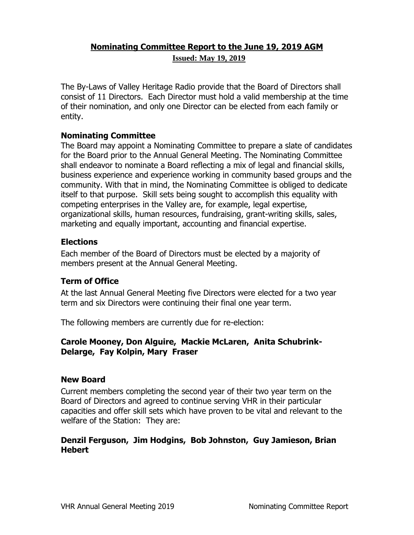## **Nominating Committee Report to the June 19, 2019 AGM Issued: May 19, 2019**

The By-Laws of Valley Heritage Radio provide that the Board of Directors shall consist of 11 Directors. Each Director must hold a valid membership at the time of their nomination, and only one Director can be elected from each family or entity.

## **Nominating Committee**

The Board may appoint a Nominating Committee to prepare a slate of candidates for the Board prior to the Annual General Meeting. The Nominating Committee shall endeavor to nominate a Board reflecting a mix of legal and financial skills, business experience and experience working in community based groups and the community. With that in mind, the Nominating Committee is obliged to dedicate itself to that purpose. Skill sets being sought to accomplish this equality with competing enterprises in the Valley are, for example, legal expertise, organizational skills, human resources, fundraising, grant-writing skills, sales, marketing and equally important, accounting and financial expertise.

## **Elections**

Each member of the Board of Directors must be elected by a majority of members present at the Annual General Meeting.

# **Term of Office**

At the last Annual General Meeting five Directors were elected for a two year term and six Directors were continuing their final one year term.

The following members are currently due for re-election:

## **Carole Mooney, Don Alguire, Mackie McLaren, Anita Schubrink-Delarge, Fay Kolpin, Mary Fraser**

#### **New Board**

Current members completing the second year of their two year term on the Board of Directors and agreed to continue serving VHR in their particular capacities and offer skill sets which have proven to be vital and relevant to the welfare of the Station: They are:

## **Denzil Ferguson, Jim Hodgins, Bob Johnston, Guy Jamieson, Brian Hebert**